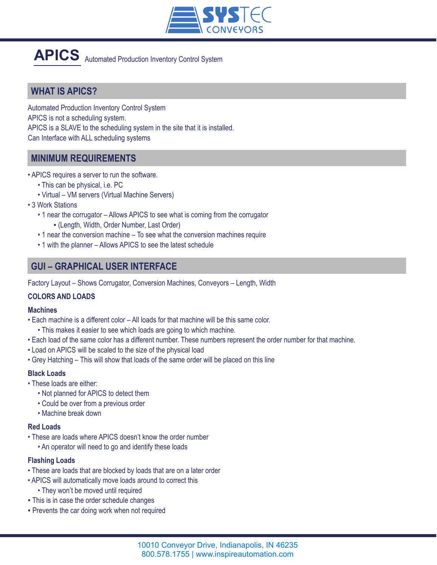

# **APICS** Automated Production Inventory Control System

## **WHAT IS APICS?**

Automated Production Inventory Control System APICS is not a scheduling system. APICS is a SLAVE to the scheduling system in the site that it is installed. Can Interface with ALL scheduling systems

## **MINIMUM REQUIREMENTS**

- APICS requires a server to run the software.
	- This can be physical, i.e. PC
	- Virtual VM servers (Virtual Machine Servers)
- 3 Work Stations
	- 1 near the corrugator Allows APICS to see what is coming from the corrugator ▪ (Length, Width, Order Number, Last Order)
	- 1 near the conversion machine To see what the conversion machines require
	- 1 with the planner Allows APICS to see the latest schedule

### **GUI – GRAPHICAL USER INTERFACE**

Factory Layout – Shows Corrugator, Conversion Machines, Conveyors – Length, Width

#### **COLORS AND LOADS**

#### **Machines**

- Each machine is a different color All loads for that machine will be this same color.
	- This makes it easier to see which loads are going to which machine.
- Each load of the same color has a different number. These numbers represent the order number for that machine.
- Load on APICS will be scaled to the size of the physical load
- Grey Hatching This will show that loads of the same order will be placed on this line

#### **Black Loads**

- These loads are either:
	- Not planned for APICS to detect them
	- Could be over from a previous order
	- Machine break down

#### **Red Loads**

- These are loads where APICS doesn't know the order number
	- An operator will need to go and identify these loads

#### **Flashing Loads**

- These are loads that are blocked by loads that are on a later order
- APICS will automatically move loads around to correct this
	- They won't be moved until required
- **This is in case the order schedule changes**
- **Prevents the car doing work when not required**